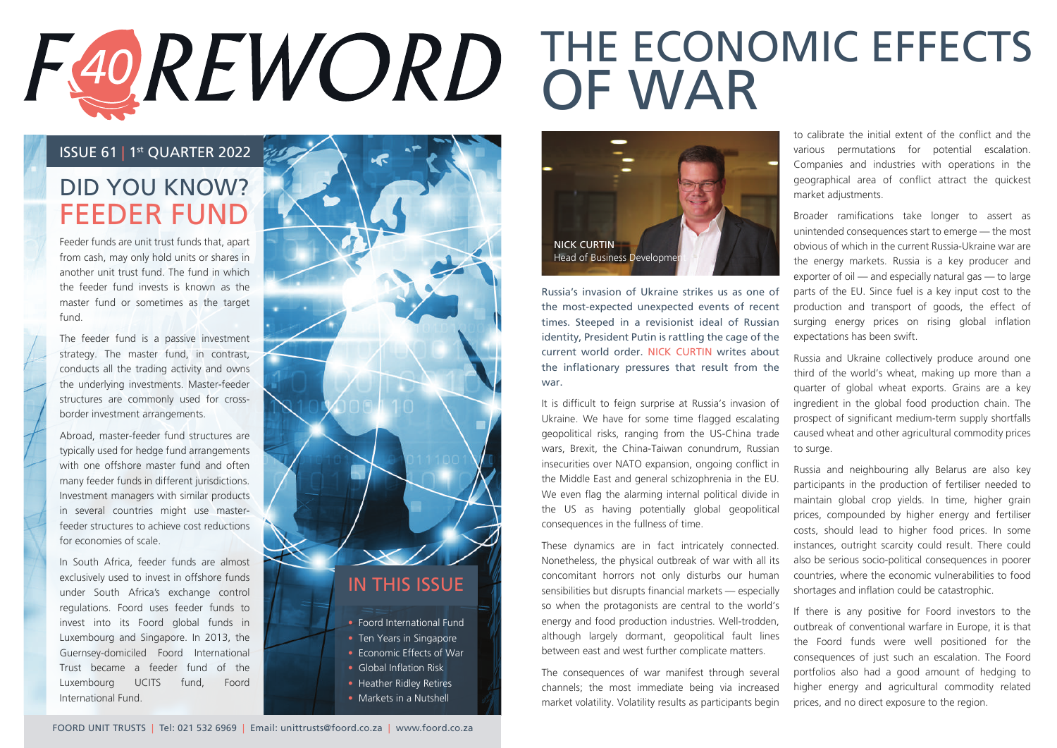## THE ECONOMIC EFFECTS F40REWORD OF WAR

#### ISSUE 61 | 1st QUARTER 2022

## DID YOU KNOW? FEEDER FUND

Feeder funds are unit trust funds that, apart from cash, may only hold units or shares in another unit trust fund. The fund in which the feeder fund invests is known as the master fund or sometimes as the target fund.

The feeder fund is a passive investment strategy. The master fund, in contrast, conducts all the trading activity and owns the underlying investments. Master-feeder structures are commonly used for crossborder investment arrangements.

Abroad, master-feeder fund structures are typically used for hedge fund arrangements with one offshore master fund and often many feeder funds in different jurisdictions. Investment managers with similar products in several countries might use masterfeeder structures to achieve cost reductions for economies of scale.

In South Africa, feeder funds are almost exclusively used to invest in offshore funds under South Africa's exchange control regulations. Foord uses feeder funds to invest into its Foord global funds in Luxembourg and Singapore. In 2013, the Guernsey-domiciled Foord International Trust became a feeder fund of the Luxembourg UCITS fund, Foord International Fund.





Russia's invasion of Ukraine strikes us as one of the most-expected unexpected events of recent times. Steeped in a revisionist ideal of Russian identity, President Putin is rattling the cage of the current world order. NICK CURTIN writes about the inflationary pressures that result from the war.

It is difficult to feign surprise at Russia's invasion of Ukraine. We have for some time flagged escalating geopolitical risks, ranging from the US-China trade wars, Brexit, the China-Taiwan conundrum, Russian insecurities over NATO expansion, ongoing conflict in the Middle East and general schizophrenia in the EU. We even flag the alarming internal political divide in the US as having potentially global geopolitical consequences in the fullness of time.

These dynamics are in fact intricately connected. Nonetheless, the physical outbreak of war with all its concomitant horrors not only disturbs our human sensibilities but disrupts financial markets — especially so when the protagonists are central to the world's energy and food production industries. Well-trodden, although largely dormant, geopolitical fault lines between east and west further complicate matters.

The consequences of war manifest through several channels; the most immediate being via increased market volatility. Volatility results as participants begin to calibrate the initial extent of the conflict and the various permutations for potential escalation. Companies and industries with operations in the geographical area of conflict attract the quickest market adjustments.

Broader ramifications take longer to assert as unintended consequences start to emerge — the most obvious of which in the current Russia-Ukraine war are the energy markets. Russia is a key producer and exporter of oil — and especially natural gas — to large parts of the EU. Since fuel is a key input cost to the production and transport of goods, the effect of surging energy prices on rising global inflation expectations has been swift.

Russia and Ukraine collectively produce around one third of the world's wheat, making up more than a quarter of global wheat exports. Grains are a key ingredient in the global food production chain. The prospect of significant medium-term supply shortfalls caused wheat and other agricultural commodity prices to surge.

Russia and neighbouring ally Belarus are also key participants in the production of fertiliser needed to maintain global crop yields. In time, higher grain prices, compounded by higher energy and fertiliser costs, should lead to higher food prices. In some instances, outright scarcity could result. There could also be serious socio-political consequences in poorer countries, where the economic vulnerabilities to food shortages and inflation could be catastrophic.

If there is any positive for Foord investors to the outbreak of conventional warfare in Europe, it is that the Foord funds were well positioned for the consequences of just such an escalation. The Foord portfolios also had a good amount of hedging to higher energy and agricultural commodity related prices, and no direct exposure to the region.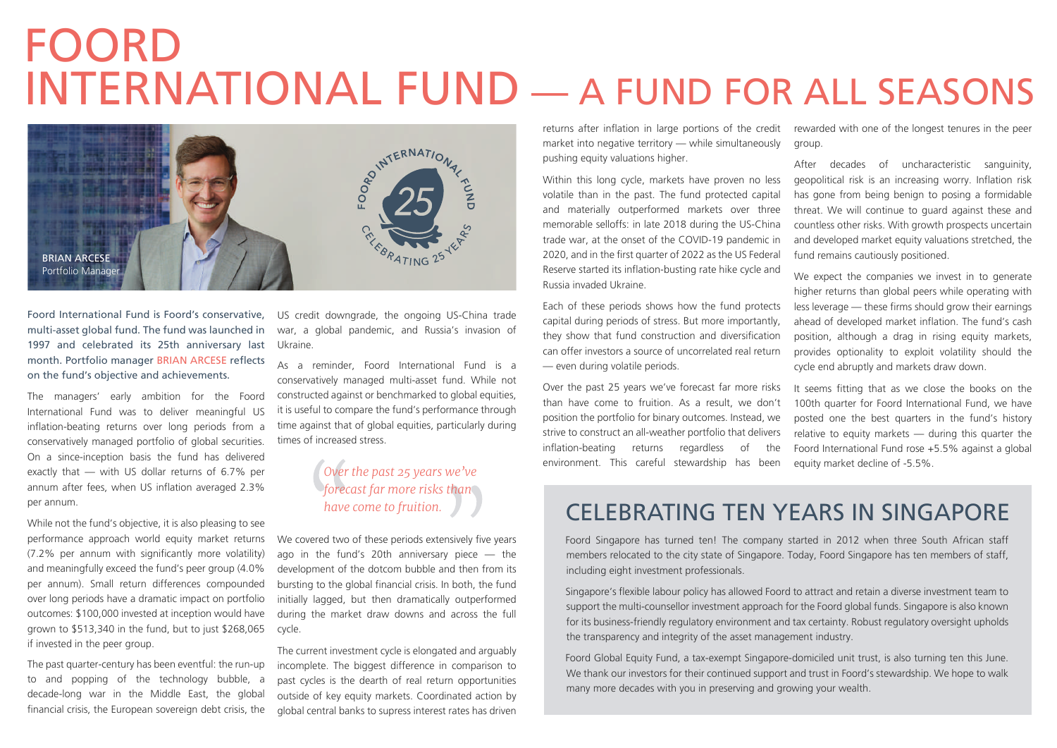# FOORD INTERNATIONAL FUND — A FUND FOR ALL SEASONS



Foord International Fund is Foord's conservative, multi-asset global fund. The fund was launched in 1997 and celebrated its 25th anniversary last month. Portfolio manager BRIAN ARCESE reflects on the fund's objective and achievements.

The managers' early ambition for the Foord International Fund was to deliver meaningful US inflation-beating returns over long periods from a conservatively managed portfolio of global securities. On a since-inception basis the fund has delivered exactly that — with US dollar returns of 6.7% per annum after fees, when US inflation averaged 2.3% per annum.

While not the fund's objective, it is also pleasing to see performance approach world equity market returns (7.2% per annum with significantly more volatility) and meaningfully exceed the fund's peer group (4.0% per annum). Small return differences compounded over long periods have a dramatic impact on portfolio outcomes: \$100,000 invested at inception would have grown to \$513,340 in the fund, but to just \$268,065 if invested in the peer group.

The past quarter-century has been eventful: the run-up to and popping of the technology bubble, a decade-long war in the Middle East, the global financial crisis, the European sovereign debt crisis, the

US credit downgrade, the ongoing US-China trade war, a global pandemic, and Russia's invasion of Ukraine.

As a reminder, Foord International Fund is a conservatively managed multi-asset fund. While not constructed against or benchmarked to global equities, it is useful to compare the fund's performance through time against that of global equities, particularly during times of increased stress.

> *Over the past 25 years we've forecast far more risks than have come to fruition.*

We covered two of these periods extensively five years ago in the fund's 20th anniversary piece  $-$  the development of the dotcom bubble and then from its bursting to the global financial crisis. In both, the fund initially lagged, but then dramatically outperformed during the market draw downs and across the full cycle.

The current investment cycle is elongated and arguably incomplete. The biggest difference in comparison to past cycles is the dearth of real return opportunities outside of key equity markets. Coordinated action by global central banks to supress interest rates has driven

returns after inflation in large portions of the credit market into negative territory — while simultaneously pushing equity valuations higher.

Within this long cycle, markets have proven no less volatile than in the past. The fund protected capital and materially outperformed markets over three memorable selloffs: in late 2018 during the US-China trade war, at the onset of the COVID-19 pandemic in 2020, and in the first quarter of 2022 as the US Federal Reserve started its inflation-busting rate hike cycle and Russia invaded Ukraine.

Each of these periods shows how the fund protects capital during periods of stress. But more importantly, they show that fund construction and diversification can offer investors a source of uncorrelated real return — even during volatile periods.

Over the past 25 years we've forecast far more risks than have come to fruition. As a result, we don't position the portfolio for binary outcomes. Instead, we strive to construct an all-weather portfolio that delivers inflation-beating returns regardless of the environment. This careful stewardship has been

rewarded with one of the longest tenures in the peer group.

After decades of uncharacteristic sanguinity, geopolitical risk is an increasing worry. Inflation risk has gone from being benign to posing a formidable threat. We will continue to guard against these and countless other risks. With growth prospects uncertain and developed market equity valuations stretched, the fund remains cautiously positioned.

We expect the companies we invest in to generate higher returns than global peers while operating with less leverage — these firms should grow their earnings ahead of developed market inflation. The fund's cash position, although a drag in rising equity markets, provides optionality to exploit volatility should the cycle end abruptly and markets draw down.

It seems fitting that as we close the books on the 100th quarter for Foord International Fund, we have posted one the best quarters in the fund's history relative to equity markets — during this quarter the Foord International Fund rose +5.5% against a global equity market decline of -5.5%.

### CELEBRATING TEN YEARS IN SINGAPORE

Foord Singapore has turned ten! The company started in 2012 when three South African staff members relocated to the city state of Singapore. Today, Foord Singapore has ten members of staff, including eight investment professionals.

Singapore's flexible labour policy has allowed Foord to attract and retain a diverse investment team to support the multi-counsellor investment approach for the Foord global funds. Singapore is also known for its business-friendly regulatory environment and tax certainty. Robust regulatory oversight upholds the transparency and integrity of the asset management industry.

Foord Global Equity Fund, a tax-exempt Singapore-domiciled unit trust, is also turning ten this June. We thank our investors for their continued support and trust in Foord's stewardship. We hope to walk many more decades with you in preserving and growing your wealth.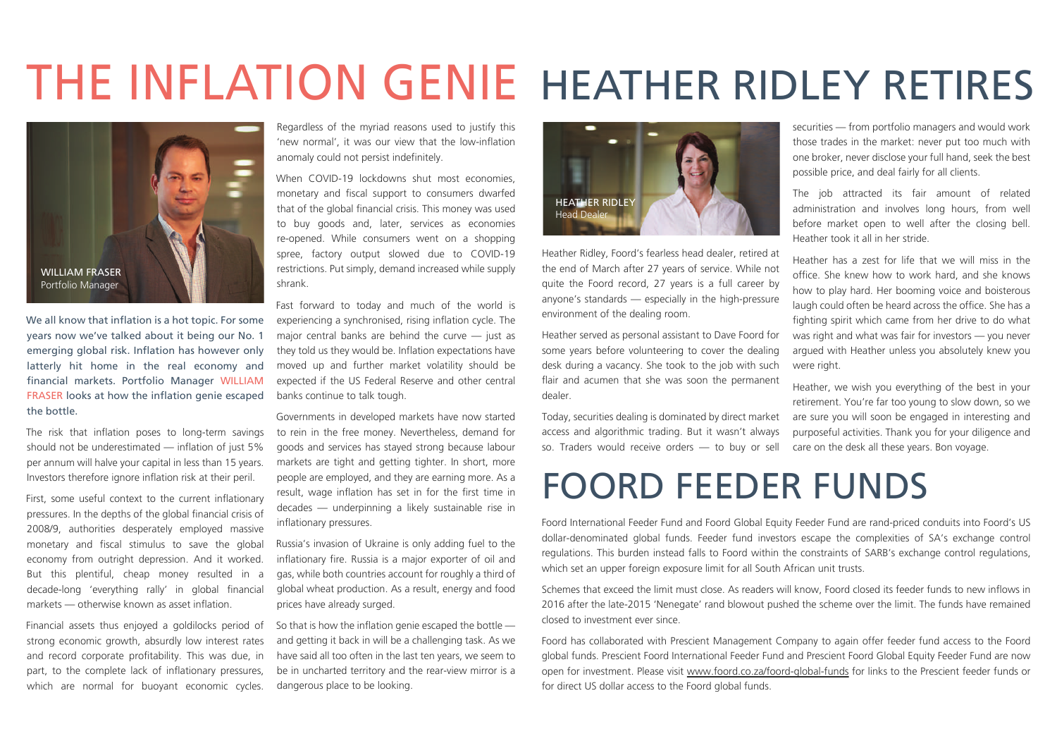# THE INFLATION GENIE HEATHER RIDLEY RETIRES



We all know that inflation is a hot topic. For some years now we've talked about it being our No. 1 emerging global risk. Inflation has however only latterly hit home in the real economy and financial markets. Portfolio Manager WILLIAM FRASER looks at how the inflation genie escaped the bottle.

The risk that inflation poses to long-term savings should not be underestimated — inflation of just 5% per annum will halve your capital in less than 15 years. Investors therefore ignore inflation risk at their peril.

First, some useful context to the current inflationary pressures. In the depths of the global financial crisis of 2008/9, authorities desperately employed massive monetary and fiscal stimulus to save the global economy from outright depression. And it worked. But this plentiful, cheap money resulted in a decade-long 'everything rally' in global financial markets — otherwise known as asset inflation.

Financial assets thus enjoyed a goldilocks period of strong economic growth, absurdly low interest rates and record corporate profitability. This was due, in part, to the complete lack of inflationary pressures, which are normal for buoyant economic cycles.

Regardless of the myriad reasons used to justify this 'new normal', it was our view that the low-inflation anomaly could not persist indefinitely.

When COVID-19 lockdowns shut most economies. monetary and fiscal support to consumers dwarfed that of the global financial crisis. This money was used to buy goods and, later, services as economies re-opened. While consumers went on a shopping spree, factory output slowed due to COVID-19 restrictions. Put simply, demand increased while supply shrank.

Fast forward to today and much of the world is experiencing a synchronised, rising inflation cycle. The major central banks are behind the curve  $-$  just as they told us they would be. Inflation expectations have moved up and further market volatility should be expected if the US Federal Reserve and other central banks continue to talk tough.

Governments in developed markets have now started to rein in the free money. Nevertheless, demand for goods and services has stayed strong because labour markets are tight and getting tighter. In short, more people are employed, and they are earning more. As a result, wage inflation has set in for the first time in decades — underpinning a likely sustainable rise in inflationary pressures.

Russia's invasion of Ukraine is only adding fuel to the inflationary fire. Russia is a major exporter of oil and gas, while both countries account for roughly a third of global wheat production. As a result, energy and food prices have already surged.

So that is how the inflation genie escaped the bottle and getting it back in will be a challenging task. As we have said all too often in the last ten years, we seem to be in uncharted territory and the rear-view mirror is a dangerous place to be looking.



Heather Ridley, Foord's fearless head dealer, retired at the end of March after 27 years of service. While not quite the Foord record, 27 years is a full career by anyone's standards — especially in the high-pressure environment of the dealing room.

Heather served as personal assistant to Dave Foord for some years before volunteering to cover the dealing desk during a vacancy. She took to the job with such flair and acumen that she was soon the permanent dealer.

Today, securities dealing is dominated by direct market access and algorithmic trading. But it wasn't always so. Traders would receive orders — to buy or sell

#### one broker, never disclose your full hand, seek the best possible price, and deal fairly for all clients. The job attracted its fair amount of related administration and involves long hours, from well

securities — from portfolio managers and would work those trades in the market: never put too much with

before market open to well after the closing bell. Heather took it all in her stride.

Heather has a zest for life that we will miss in the office. She knew how to work hard, and she knows how to play hard. Her booming voice and boisterous laugh could often be heard across the office. She has a fighting spirit which came from her drive to do what was right and what was fair for investors — you never argued with Heather unless you absolutely knew you were right.

Heather, we wish you everything of the best in your retirement. You're far too young to slow down, so we are sure you will soon be engaged in interesting and purposeful activities. Thank you for your diligence and care on the desk all these years. Bon voyage.

## FOORD FEEDER FUNDS

Foord International Feeder Fund and Foord Global Equity Feeder Fund are rand-priced conduits into Foord's US dollar-denominated global funds. Feeder fund investors escape the complexities of SA's exchange control regulations. This burden instead falls to Foord within the constraints of SARB's exchange control regulations, which set an upper foreign exposure limit for all South African unit trusts.

Schemes that exceed the limit must close. As readers will know, Foord closed its feeder funds to new inflows in 2016 after the late-2015 'Nenegate' rand blowout pushed the scheme over the limit. The funds have remained closed to investment ever since.

Foord has collaborated with Prescient Management Company to again offer feeder fund access to the Foord global funds. Prescient Foord International Feeder Fund and Prescient Foord Global Equity Feeder Fund are now open for investment. Please visit www.foord.co.za/foord-global-funds for links to the Prescient feeder funds or for direct US dollar access to the Foord global funds.